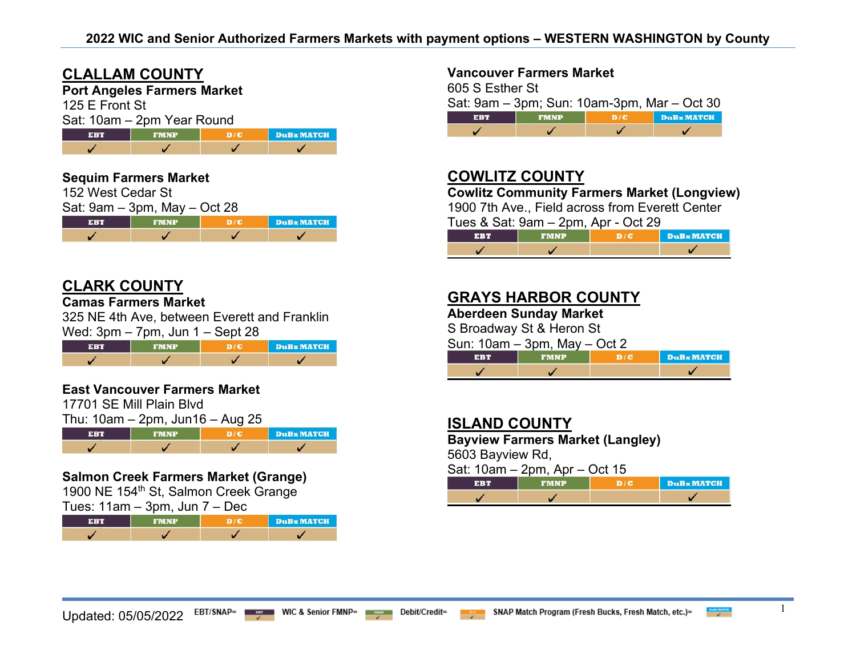## **CLALLAM COUNTY**

## **Port Angeles Farmers Market**

125 E Front St

| Sat: 10am - 2pm Year Round |  |
|----------------------------|--|
|----------------------------|--|

| <b>EBT</b> | <b>FMNP</b> | DuBx MATCH |
|------------|-------------|------------|
|            |             |            |



# **CLARK COUNTY**

#### **Camas Farmers Market**

325 NE 4th Ave, between Everett and Franklin Wed:  $3 \text{pm} - 7 \text{pm}$ , Jun  $1 -$  Sept 28

| ERT |  | <b>DuB</b> MATCH |
|-----|--|------------------|
|     |  |                  |

#### **East Vancouver Farmers Market**

17701 SE Mill Plain Blvd  $Thu: 10$ am – 2nm,  $Iun16 - Aun 25$ 

| $1110.108111 - 21111, 301110 - \text{Aug } 23$ |             |     |            |
|------------------------------------------------|-------------|-----|------------|
| <b>EBT</b>                                     | <b>FMNP</b> | D/C | DuBx MATCH |
|                                                |             |     |            |

## **Salmon Creek Farmers Market (Grange)**

1900 NE 154<sup>th</sup> St, Salmon Creek Grange

Tues: 11am – 3pm, Jun 7 – Dec

| <b>STRATE</b> | FMNP | <b>DuBx MATCH</b> |
|---------------|------|-------------------|
|               |      |                   |

#### **Vancouver Farmers Market**

605 S Esther St Sat: 9am – 3pm; Sun: 10am-3pm, Mar – Oct 30 **EBT FMNP**  $D/C$  $\overline{1}$  $\overline{\mathscr{L}}$  $\checkmark$  $\overline{\mathscr{L}}$ 

# **COWLITZ COUNTY**

**Cowlitz Community Farmers Market (Longview)**

1900 7th Ave., Field across from Everett Center  $T_{\text{II}}$ ge & Sat:  $Q_{\text{2m}} = 2$ pm,  $\Delta$ pr - Oct 20

| $105$ $\alpha$ $0a$ . $5a$ $11 - 2p$ $11$ , $A$ $p1 - 0c$ . $25$ |             |            |            |
|------------------------------------------------------------------|-------------|------------|------------|
| FRT                                                              | <b>FMNP</b> | <b>DIG</b> | DuBx MATCH |
|                                                                  |             |            |            |

# **GRAYS HARBOR COUNTY**

**Aberdeen Sunday Market**

S Broadway St & Heron St

Sun: 10am – 3pm, May – Oct 2

| . | <b>DuBx MATCH</b> |
|---|-------------------|
|   |                   |

## **ISLAND COUNTY**

**Bayview Farmers Market (Langley)**

5603 Bayview Rd,

| Sat: 10am - 2pm, Apr - Oct 15                    |  |  |  |
|--------------------------------------------------|--|--|--|
| DuBx MATCH<br><b>THEFT</b><br><b>FMNP</b><br>D/C |  |  |  |
|                                                  |  |  |  |

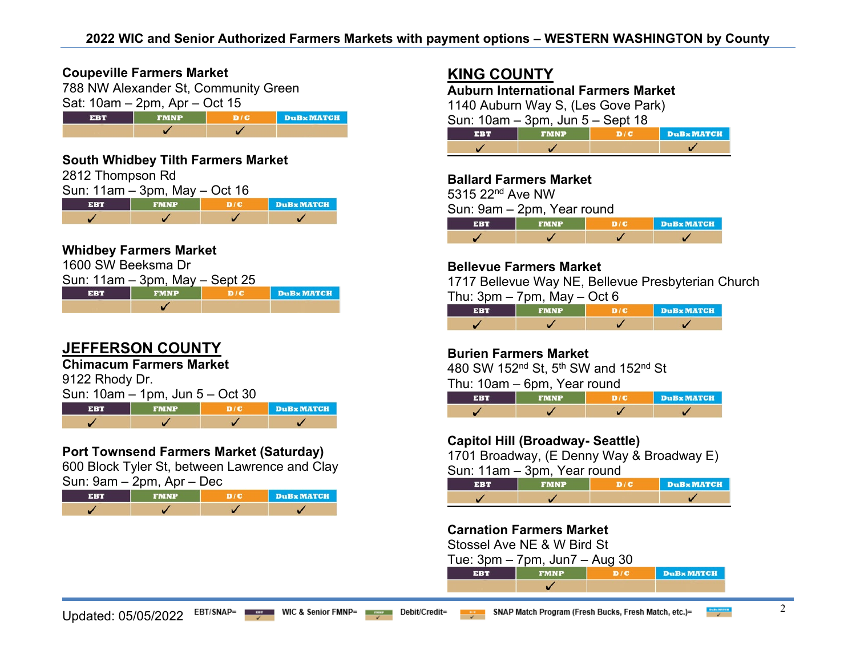#### **Coupeville Farmers Market**

788 NW Alexander St, Community Green Sat: 10am – 2pm, Apr – Oct 15



### **South Whidbey Tilth Farmers Market**

| 2812 Thompson Rd |                                    |     |                  |
|------------------|------------------------------------|-----|------------------|
|                  | Sun: $11am - 3pm$ , May $-$ Oct 16 |     |                  |
| <b>EBT</b>       | <b>FMNP</b>                        | D/C | <b>DuB</b> MATCH |
|                  |                                    |     |                  |

## **Whidbey Farmers Market**

| 1600 SW Beeksma Dr |                                     |     |                  |
|--------------------|-------------------------------------|-----|------------------|
|                    | Sun: $11am - 3pm$ , May $-$ Sept 25 |     |                  |
| <b>EBT</b>         | <b>FMNP</b>                         | DIC | <b>DuB</b> MATCH |
|                    |                                     |     |                  |

# **JEFFERSON COUNTY**

## **Chimacum Farmers Market**

9122 Rhody Dr.

|            | Sun: 10am – 1pm, Jun 5 – Oct 30 |                 |         |
|------------|---------------------------------|-----------------|---------|
| <b>EBT</b> | <b>FMNP</b>                     | <b>THE REAL</b> | DuBx MA |
|            |                                 |                 |         |

## **Port Townsend Farmers Market (Saturday)**

600 Block Tyler St, between Lawrence and Clay  $S$ un: 9am – 2pm, Apr – Dec

|     | $2\pi$ $\sigma$ $\sigma$ $\sigma$ $\sigma$ $\sigma$ |  |            |
|-----|-----------------------------------------------------|--|------------|
| FRT | <b>FMNP</b>                                         |  | DuBx MATCH |
|     |                                                     |  |            |

# **KING COUNTY**

**Auburn International Farmers Market** 1140 Auburn Way S, (Les Gove Park)

Sun: 10am – 3pm, Jun 5 – Sept 18

| <b>ERIT BEE</b> | DuBx MATCH |
|-----------------|------------|
|                 |            |

#### **Ballard Farmers Market**

5315 22nd Ave NW

Sun: 9am – 2pm, Year round

| --- | FMNP | <b>DuBx MATCH</b> |
|-----|------|-------------------|
|     |      |                   |

### **Bellevue Farmers Market**

1717 Bellevue Way NE, Bellevue Presbyterian Church Thu:  $3pm - 7pm$ . May  $-$  Oct 6

|  | <b>DuBx MATCH</b> |
|--|-------------------|
|  |                   |

## **Burien Farmers Market**

480 SW 152nd St, 5th SW and 152nd St

Thu: 10am – 6pm, Year round

| 31 : 4 s | <b>FMNP</b> | DuBx MATCH |
|----------|-------------|------------|
|          |             |            |

## **Capitol Hill (Broadway- Seattle)**

1701 Broadway, (E Denny Way & Broadway E)  $S$ un: 11am –  $3$ nm, Year round

| V |                  |
|---|------------------|
|   | <b>DuBxMATCH</b> |
|   |                  |

## **Carnation Farmers Market**

Stossel Ave NE & W Bird St

|    | Tue: $3pm - 7pm$ , Jun $7 - Aug$ 30 |  |
|----|-------------------------------------|--|
| вн | <b>EMNP</b>                         |  |

✓

**× MATCH**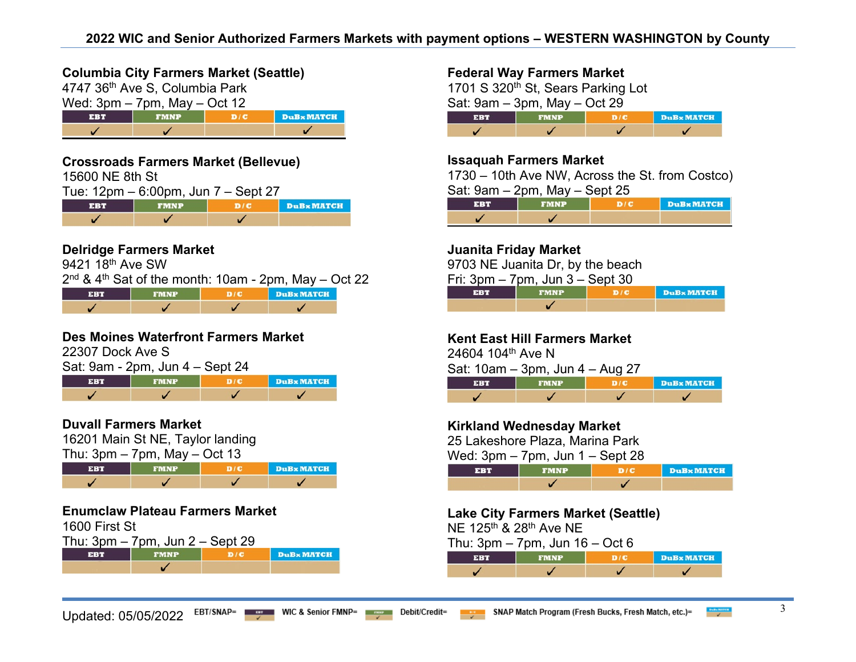## **Columbia City Farmers Market (Seattle)**

4747 36th Ave S, Columbia Park



### **Crossroads Farmers Market (Bellevue)**

15600 NE 8th St

| Tue: 12pm – 6:00pm, Jun 7 – Sept 27 |  |
|-------------------------------------|--|
|-------------------------------------|--|

| <b>EBT</b> | <b>FMNP</b> | <b>DuB</b> x MATCH |
|------------|-------------|--------------------|
|            |             |                    |

## **Delridge Farmers Market**

9421 18<sup>th</sup> Ave SW

 $2<sup>nd</sup>$  & 4<sup>th</sup> Sat of the month: 10am - 2pm, May – Oct 22

| MNE | <b>DuB</b> x MATCH |
|-----|--------------------|
|     |                    |

## **Des Moines Waterfront Farmers Market**

22307 Dock Ave S

| Sat: 9am - 2pm, Jun 4 – Sept 24 |  |            |  |
|---------------------------------|--|------------|--|
| <b>TERT</b>                     |  | DuBx MATCH |  |
|                                 |  |            |  |

## **Duvall Farmers Market**

16201 Main St NE, Taylor landing

Thu:  $3pm - 7pm$ , May  $-$  Oct 13



### **Enumclaw Plateau Farmers Market**

1600 First St

Thu:  $3pm - 7pm$ , Jun  $2 -$  Sept 29



### **Federal Way Farmers Market**

1701 S 320<sup>th</sup> St, Sears Parking Lot Sat: 9am – 3pm, May – Oct 29 **EBT FMNP DuB**x MATCH  $D/C$  $\overline{1}$  $\overline{\mathscr{L}}$  $\checkmark$ 

#### **Issaquah Farmers Market**

1730 – 10th Ave NW, Across the St. from Costco) Sat: 9am – 2pm, May – Sept 25

| <b>COT</b> | <b>FMNP</b> | <b>DuBx MATCH</b> |
|------------|-------------|-------------------|
|            |             |                   |

### **Juanita Friday Market**

9703 NE Juanita Dr, by the beach

Fri: 3pm – 7pm, Jun 3 – Sept 30

| <b>EBT</b> | <b>FMNP</b> | D/C | DuBx MATCI |
|------------|-------------|-----|------------|
|            |             |     |            |

## **Kent East Hill Farmers Market**

24604 104th Ave N

Sat: 10am – 3pm, Jun 4 – Aug 27

| $-3.344$ | <b>FMNP</b> | DuBx MATCH |
|----------|-------------|------------|
|          |             |            |

## **Kirkland Wednesday Market**

25 Lakeshore Plaza, Marina Park

Wed:  $3 \text{pm} - 7 \text{pm}$ , Jun  $1 -$  Sept 28

| <br>. .<br>. . | <br><b>DuBx MATCH</b> |
|----------------|-----------------------|
|                |                       |

#### **Lake City Farmers Market (Seattle)**

NF 125<sup>th</sup> & 28<sup>th</sup> Ave NF

| Thu: $3pm - 7pm$ , Jun $16 - Oct 6$ |  |  |
|-------------------------------------|--|--|
|                                     |  |  |

| FRT | <b>FMNP</b> | <b>DuBx MATCH</b> |
|-----|-------------|-------------------|
|     |             |                   |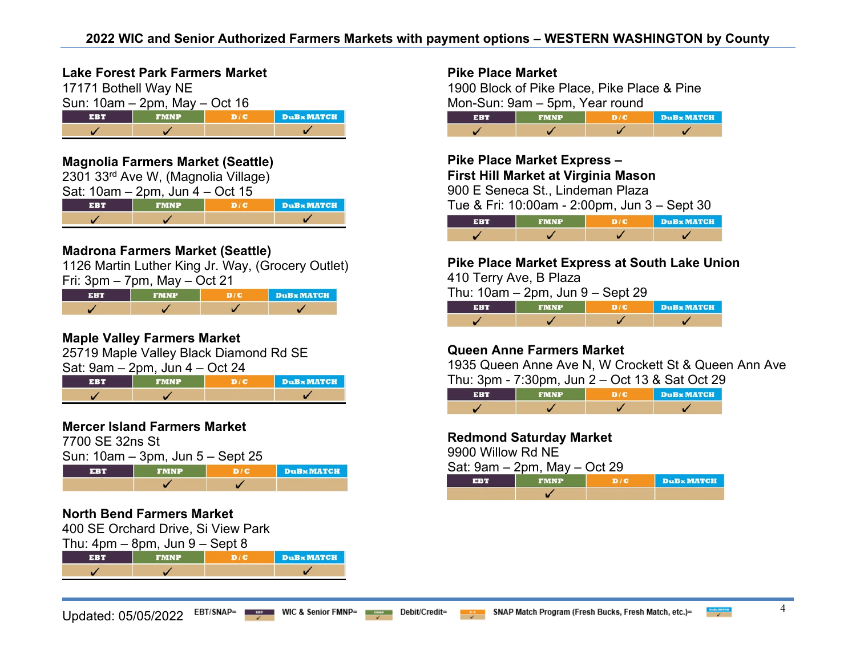## **Lake Forest Park Farmers Market**

17171 Bothell Way NE  $\frac{\text{Sun: 10am} - \text{2pm, May} - \text{Oct }16}{\text{EBT}}$ **EBT FMNP DuBxMATCH**  $\checkmark$  $\checkmark$ 

#### **Magnolia Farmers Market (Seattle)**

| 2301 33rd Ave W, (Magnolia Village)  |                                         |  |  |  |
|--------------------------------------|-----------------------------------------|--|--|--|
| Sat: $10am - 2pm$ , Jun $4 - Oct 15$ |                                         |  |  |  |
| <b>EBT</b>                           | <b>DuBx MATCH</b><br>D/C<br><b>FMNP</b> |  |  |  |
|                                      |                                         |  |  |  |

## **Madrona Farmers Market (Seattle)**

1126 Martin Luther King Jr. Way, (Grocery Outlet)

Fri: 3pm – 7pm, May – Oct 21

| EBT | <b>FMNP</b> | DuBx MATCH |
|-----|-------------|------------|
|     |             |            |

## **Maple Valley Farmers Market**

25719 Maple Valley Black Diamond Rd SE  $Sat: 9am - 2nm$   $\lim A - \text{Ort } 2A$ 

| $\sigma$ out $\sigma$ out $\sigma$ out $\sigma$ out $\sigma$ |                  |
|--------------------------------------------------------------|------------------|
|                                                              | <b>DuBxMATCH</b> |
|                                                              |                  |

## **Mercer Island Farmers Market**

7700 SE 32ns St

Sun: 10am – 3pm, Jun 5 – Sept 25



## **North Bend Farmers Market**

400 SE Orchard Drive, Si View Park

Thu:  $4 \text{nm} - 8 \text{nm}$ , Jun  $9 -$  Sept 8

|  | <b>DuBx MATCH</b> |
|--|-------------------|
|  |                   |

Updated: 05/05/2022 EBT/SNAP= WIC & Senior FMNP= Debit/Credit= Bucks, Frogram (Fresh Bucks, Fresh Match, etc.)= ET/SNAP= 4



1900 Block of Pike Place, Pike Place & Pine Mon-Sun: 9am – 5pm, Year round

| <b>ERT</b> | <b>FMNP</b> | DuBx MATCH |
|------------|-------------|------------|
|            |             |            |

## **Pike Place Market Express – First Hill Market at Virginia Mason**

900 E Seneca St., Lindeman Plaza

Tue & Fri: 10:00am - 2:00pm, Jun 3 – Sept 30



#### **Pike Place Market Express at South Lake Union**  410 Terry Ave, B Plaza

Thu: 10am – 2pm, Jun 9 – Sept 29

| <b>SIRATA</b> | FMNP | <b>DuBx MATCH</b> |
|---------------|------|-------------------|
|               |      |                   |

## **Queen Anne Farmers Market**

1935 Queen Anne Ave N, W Crockett St & Queen Ann Ave Thu: 3pm - 7:30pm, Jun 2 – Oct 13 & Sat Oct 29

|  | <b>DuBx MATCH</b> |
|--|-------------------|
|  |                   |

#### **Redmond Saturday Market**

9900 Willow Rd NE

| Sat: $9am - 2pm$ , May $-$ Oct 29 |             |  |            |  |
|-----------------------------------|-------------|--|------------|--|
| <b>FBT</b>                        | <b>FMNP</b> |  | DuBx MATCH |  |
|                                   |             |  |            |  |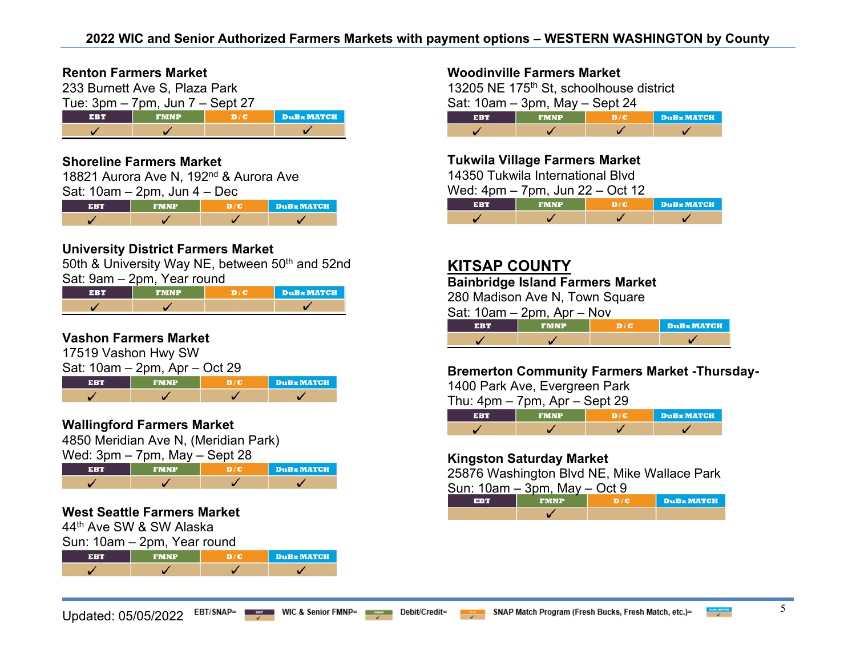#### **Renton Farmers Market**

233 Burnett Ave S, Plaza Park Tue: 3pm – 7pm, Jun 7 – Sept 27 **EBT FMNP**  $D/C$ **DuB**x MATCH  $\checkmark$  $\checkmark$ 

### **Shoreline Farmers Market**

18821 Aurora Ave N, 192<sup>nd</sup> & Aurora Ave Sat: 10am – 2pm, Jun 4 – Dec

| <b>EBT</b> | <b>FMNP</b> | <b>DuB</b> <sub>x</sub> MATCH |
|------------|-------------|-------------------------------|
|            |             |                               |

## **University District Farmers Market**

50th & University Way NE, between 50<sup>th</sup> and 52nd

Sat: 9am – 2pm, Year round

|  | <b>DuBx MATCH</b> |
|--|-------------------|
|  |                   |

### **Vashon Farmers Market**

17519 Vashon Hwy SW  $Sat: 10am$ ,  $2nm$ , Apr., Oct 20

|             | Jal. Tudili – Zpili, Api – OGC 29 |        |       |
|-------------|-----------------------------------|--------|-------|
| <b>TERR</b> | <b>EMNP</b>                       | 1 р/с. | DuBx! |

## **Wallingford Farmers Market**

4850 Meridian Ave N, (Meridian Park)

Wed: 3pm – 7pm, May – Sept 28

|  | <b>DuB</b> MATCH |
|--|------------------|
|  |                  |

## **West Seattle Farmers Market**

44th Ave SW & SW Alaska

Sun: 10am – 2pm, Year round

| FMNP | <b>DuBx MATCH</b> |
|------|-------------------|
|      |                   |



**MATCH** 

## **Woodinville Farmers Market**

13205 NE 175<sup>th</sup> St, schoolhouse district Sat: 10am – 3pm, May – Sept 24

| . | <u>inine</u> | DUBXMAICA |
|---|--------------|-----------|
|   |              |           |

### **Tukwila Village Farmers Market**

14350 Tukwila International Blvd

Wed: 4pm – 7pm, Jun 22 – Oct 12

| 31:4 V | <b>FMNP</b> | DuBx MATCH |
|--------|-------------|------------|
|        |             |            |

## **KITSAP COUNTY**

## **Bainbridge Island Farmers Market**

280 Madison Ave N, Town Square

Sat: 10am – 2pm, Apr – Nov

|  | <b>DuBxMATCH</b> |
|--|------------------|
|  |                  |

#### **Bremerton Community Farmers Market -Thursday-**

1400 Park Ave, Evergreen Park

Thu:  $4$ pm –  $7$ pm,  $Ar -$ Sept 29

|  | <b>DuBx MATCH</b> |
|--|-------------------|
|  |                   |

#### **Kingston Saturday Market**

25876 Washington Blvd NE, Mike Wallace Park

Sun: 10am – 3pm, May – Oct 9

| se s | <b>FMNP</b> | DuBx MATCH |
|------|-------------|------------|
|      |             |            |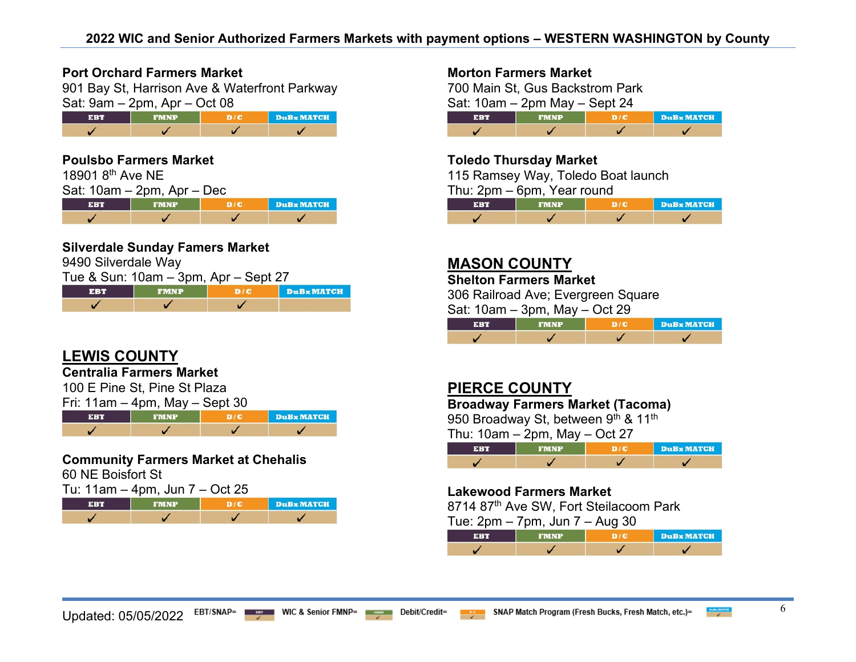### **Port Orchard Farmers Market**

901 Bay St, Harrison Ave & Waterfront Parkway Sat: 9am – 2pm, Apr – Oct 08

| MNP | <b>DuB</b> <sub>x</sub> MATCH |
|-----|-------------------------------|
|     |                               |

## **Poulsbo Farmers Market**

| 18901 8 <sup>th</sup> Ave NE |                               |     |                   |
|------------------------------|-------------------------------|-----|-------------------|
|                              | Sat: $10am - 2pm$ , Apr – Dec |     |                   |
| <b>EBT</b>                   | <b>FMNP</b>                   | D/C | <b>DuBx MATCH</b> |
|                              |                               |     |                   |

### **Silverdale Sunday Famers Market**

9490 Silverdale Way

| Tue & Sun: 10am – 3pm, Apr – Sept 27 |             |     |            |  |
|--------------------------------------|-------------|-----|------------|--|
| EBT                                  | <b>EMNP</b> | D/C | DuBx MATCH |  |
|                                      |             |     |            |  |

# **LEWIS COUNTY**

## **Centralia Farmers Market**

100 E Pine St, Pine St Plaza  $F_{\text{min}}$  11am – 1pm, May  $\frac{P_{\text{min}}}{P_{\text{min}}}$   $\frac{P_{\text{min}}}{P_{\text{min}}}$ 

| $\blacksquare$ i Tam – 4pm, may – 5ept 30 |             |  |            |
|-------------------------------------------|-------------|--|------------|
| <b>FRT</b>                                | <b>FMNP</b> |  | DuBx MATCH |
|                                           |             |  |            |

# **Community Farmers Market at Chehalis**

60 NE Boisfort St

| Tu: 11am – 4pm, Jun 7 – Oct 25 |
|--------------------------------|
|--------------------------------|

| ਚਾਸ਼ਰ | FMNP | <b>DuB</b> <sub>x</sub> MATCH |
|-------|------|-------------------------------|
|       |      |                               |

## **Morton Farmers Market**

700 Main St, Gus Backstrom Park Sat: 10am – 2pm May – Sept 24 **EBT FMNP DuB** MATCH  $D/C$  $\overline{1}$  $\overline{\mathscr{L}}$  $\checkmark$  $\overline{\mathscr{L}}$ 

## **Toledo Thursday Market**

115 Ramsey Way, Toledo Boat launch Thu: 2pm – 6pm, Year round

|  | <b>DuBx MATCH</b> |
|--|-------------------|
|  |                   |

## **MASON COUNTY**

#### **Shelton Farmers Market**

306 Railroad Ave; Evergreen Square

Sat: 10am – 3pm, May – Oct 29

| 33 T | <b>FMNP</b> | <b>DuB</b> MATCH |
|------|-------------|------------------|
|      |             |                  |

# **PIERCE COUNTY**

## **Broadway Farmers Market (Tacoma)**

950 Broadway St, between 9th & 11th

|  | <b>DuBx MATCH</b> |
|--|-------------------|
|  |                   |

#### **Lakewood Farmers Market**

8714 87th Ave SW, Fort Steilacoom Park

Tue: 2pm – 7pm, Jun 7 – Aug 30

| 1.11 | FMND | <b>DuBx MATCH</b> |
|------|------|-------------------|
|      |      |                   |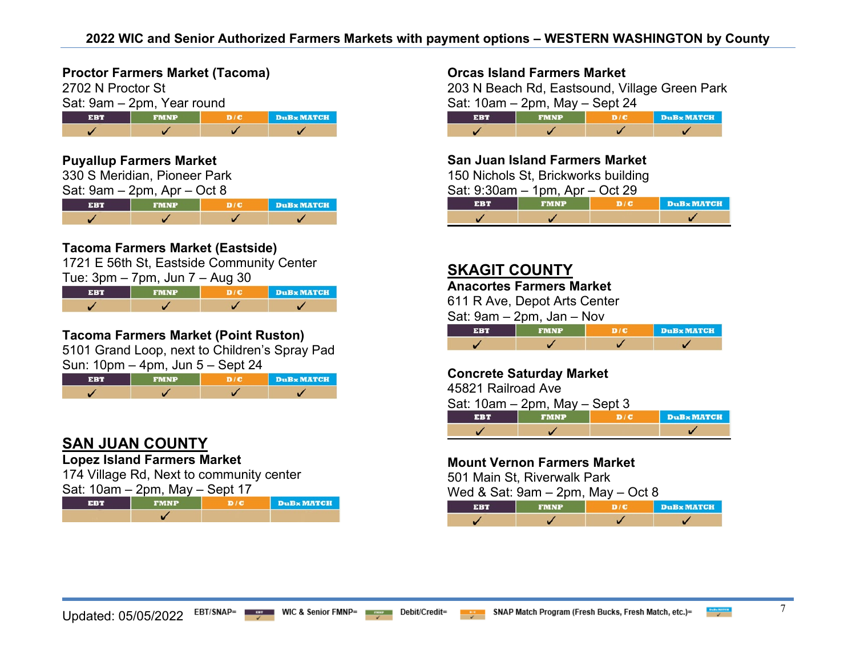## **Proctor Farmers Market (Tacoma)**

| 2702 N Proctor St |                            |     |          |
|-------------------|----------------------------|-----|----------|
|                   | Sat: 9am - 2pm, Year round |     |          |
| <b>EBT</b>        | <b>FMNP</b>                | D/E | DuBx MAT |
|                   |                            |     |          |

## **Puyallup Farmers Market**

330 S Meridian, Pioneer Park

| Sat: 9am – 2pm, Apr – Oct 8 |  |  |  |  |
|-----------------------------|--|--|--|--|
|-----------------------------|--|--|--|--|

|  | <b>DuBxMATCH</b> |
|--|------------------|
|  |                  |

## **Tacoma Farmers Market (Eastside)**

1721 E 56th St, Eastside Community Center  $T_{\text{HQ}}$ : 3pm – 7pm,  $\lim 7 - \lim 30$ 

| $1 \text{ u}$ . Juli – Tulii, Juli T – Aug JU |             |              |        |  |
|-----------------------------------------------|-------------|--------------|--------|--|
| <b>THEFT</b>                                  | <b>FMNP</b> | <b>STORE</b> | DuBx N |  |

## **Tacoma Farmers Market (Point Ruston)**

5101 Grand Loop, next to Children's Spray Pad Sun: 10pm – 4pm, Jun 5 – Sept 24

|  | <b>DuBx MATCH</b> |
|--|-------------------|
|  |                   |

# **SAN JUAN COUNTY**

## **Lopez Island Farmers Market**

174 Village Rd, Next to community center  $Sat: 10am = 2nm$  May – Sept 17

| $U$ at. TUGITI $L$ $V$ ITI, IVIQ Y |             | יו טשט |            |
|------------------------------------|-------------|--------|------------|
| <b>FBT</b>                         | <b>FMNP</b> |        | DuBx MATCH |
|                                    |             |        |            |

### **Orcas Island Farmers Market**

203 N Beach Rd, Eastsound, Village Green Park Sat:  $10am - 2nm$  May – Sept 24

| ERT | FMNP | <b>DuB</b> <sub>x</sub> MATCH |
|-----|------|-------------------------------|
|     |      |                               |

### **San Juan Island Farmers Market**

150 Nichols St, Brickworks building

| Sat: $9:30$ am $-1$ pm, Apr $-$ Oct 29 |               |  |            |
|----------------------------------------|---------------|--|------------|
| EBT                                    | <b>TIMNP.</b> |  | DuBx MATCH |
|                                        |               |  |            |

## **SKAGIT COUNTY**

#### **Anacortes Farmers Market**

611 R Ave, Depot Arts Center

Sat: 9am – 2pm, Jan – Nov

| <b>EET</b> | <b>EMNP</b> | DuBx MATCH |
|------------|-------------|------------|
|            |             |            |

#### **Concrete Saturday Market**

45821 Railroad Ave

| Sat: $10am - 2pm$ , May $-$ Sept 3 |             |     |                   |
|------------------------------------|-------------|-----|-------------------|
| EBT                                | <b>FMNP</b> | D/E | <b>DuBx</b> MATCH |
|                                    |             |     |                   |

#### **Mount Vernon Farmers Market**

501 Main St, Riverwalk Park

Wed & Sat: 9am – 2pm, May – Oct 8

| 4 : 4 V | FMNP | DuBx MATCH |
|---------|------|------------|
|         |      |            |

**ATCH**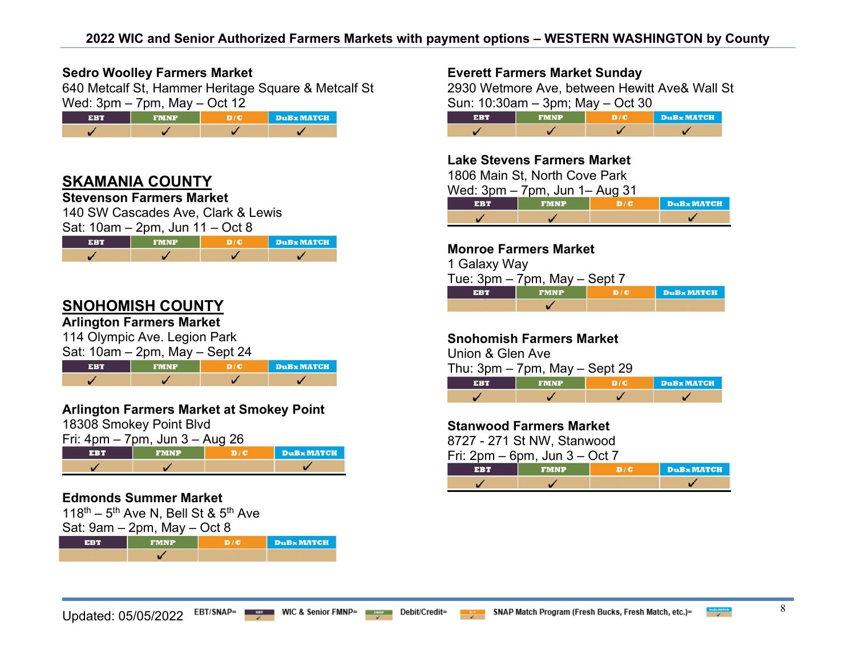### **Sedro Woolley Farmers Market**

640 Metcalf St, Hammer Heritage Square & Metcalf St Wed:  $3 \text{nm} - 7 \text{nm}$  May – Oct 12

| --- | wd | <b>DuBx MATCH</b> |
|-----|----|-------------------|
|     |    |                   |

## **SKAMANIA COUNTY**

#### **Stevenson Farmers Market**

140 SW Cascades Ave, Clark & Lewis Sat:  $10$ am –  $2nm$ , Jun  $11$  – Oct 8

|            | 20          |     |            |
|------------|-------------|-----|------------|
| <b>EBT</b> | <b>FMNP</b> | DIC | DuBx MATCH |
|            |             |     |            |

## **SNOHOMISH COUNTY**

## **Arlington Farmers Market**

114 Olympic Ave. Legion Park

| Sat: $10am - 2pm$ , May $-$ Sept 24 |             |  |            |
|-------------------------------------|-------------|--|------------|
| <b>FRT</b>                          | <b>FMNP</b> |  | DuBx MATCH |
|                                     |             |  |            |

## **Arlington Farmers Market at Smokey Point**

18308 Smokey Point Blvd

| Fri: 4pm – 7pm, Jun 3 – Aug 26 |  |
|--------------------------------|--|
|                                |  |

|  | <b>DuBx MATCH</b> |
|--|-------------------|
|  |                   |

## **Edmonds Summer Market**

118<sup>th</sup> – 5<sup>th</sup> Ave N, Bell St & 5<sup>th</sup> Ave

| Sat: $9am - 2pm$ , May $- Oct 8$ |             |             |          |  |
|----------------------------------|-------------|-------------|----------|--|
| ЕВИ                              | <b>EMNP</b> | <b>ADIO</b> | DuBx MAT |  |
|                                  |             |             |          |  |

#### **Everett Farmers Market Sunday**

2930 Wetmore Ave, between Hewitt Ave& Wall St Sun: 10:30am – 3pm; May – Oct 30

| -3-2-3 | FMNP | <b>DuBx MATCH</b> |
|--------|------|-------------------|
|        |      |                   |

#### **Lake Stevens Farmers Market**

1806 Main St, North Cove Park

Wed: 3pm – 7pm, Jun 1– Aug 31

|  | <b>DuBx MATCH</b> |
|--|-------------------|
|  |                   |

#### **Monroe Farmers Market**

1 Galaxy Way

 $T$ ue: 3pm – 7pm, May – Sept 7 **DuB** MATCH  $\overline{\mathscr{S}}$ 

#### **Snohomish Farmers Market**

Union & Glen Ave

Thu:  $3pm - 7pm$ , May  $-$  Sept 29

| $-31:11$ | <b>FMNP</b> | DuBx MATCH |
|----------|-------------|------------|
|          |             |            |

#### **Stanwood Farmers Market**

8727 - 271 St NW, Stanwood

Fri:  $2pm - 6pm$ . Jun  $3 - Oct$  7

|  | <b>DuBx MATCH</b> |
|--|-------------------|
|  |                   |

H.